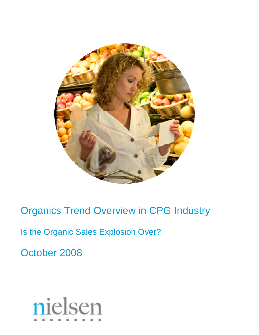

Organics Trend Overview in CPG Industry

Is the Organic Sales Explosion Over?

October 2008

# nielsen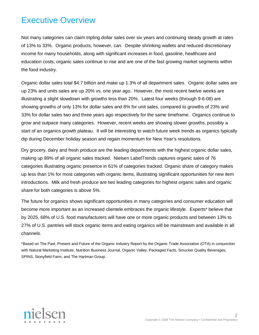## Executive Overview

Not many categories can claim tripling dollar sales over six years and continuing steady growth at rates of 13% to 33%. Organic products, however, can. Despite shrinking wallets and reduced discretionary income for many households, along with significant increases in food, gasoline, healthcare and education costs, organic sales continue to rise and are one of the fast growing market segments within the food industry.

Organic dollar sales total \$4.7 billion and make up 1.3% of all department sales. Organic dollar sales are up 23% and units sales are up 20% vs. one year ago. However, the most recent twelve weeks are illustrating a slight slowdown with growths less than 20%. Latest four weeks (through 9-6-08) are showing growths of only 13% for dollar sales and 8% for unit sales, compared to growths of 23% and 33% for dollar sales two and three years ago respectively for the same timeframe. Organics continue to grow and outpace many categories. However, recent weeks are showing slower growths, possibly a start of an organics growth plateau. It will be interesting to watch future week trends as organics typically dip during December holiday season and regain momentum for New Year's resolutions.

Dry grocery, dairy and fresh produce are the leading departments with the highest organic dollar sales, making up 89% of all organic sales tracked. Nielsen LabelTrends captures organic sales of 76 categories illustrating organic presence in 61% of categories tracked. Organic share of category makes up less than 1% for most categories with organic items, illustrating significant opportunities for new item introductions. Milk and fresh produce are two leading categories for highest organic sales and organic share for both categories is above 5%.

The future for organics shows significant opportunities in many categories and consumer education will become more important as an increased clientele embraces the organic lifestyle. Experts\* believe that by 2025, 68% of U.S. food manufacturers will have one or more organic products and between 13% to 27% of U.S. pantries will stock organic items and eating organics will be mainstream and available in all channels.

\*Based on The Past, Present and Future of the Organic Industry Report by the Organic Trade Association (OTA) in conjunction with Natural Marketing Institute, Nutrition Business Journal, Organic Valley, Packaged Facts, Smucker Quality Beverages, SPINS, Stonyfield Farm, and The Hartman Group.

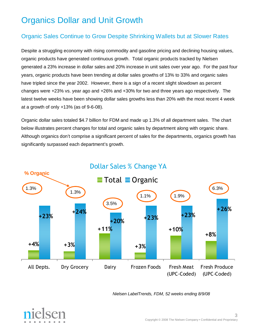# Organics Dollar and Unit Growth

## Organic Sales Continue to Grow Despite Shrinking Wallets but at Slower Rates

Despite a struggling economy with rising commodity and gasoline pricing and declining housing values, organic products have generated continuous growth. Total organic products tracked by Nielsen generated a 23% increase in dollar sales and 20% increase in unit sales over year ago. For the past four years, organic products have been trending at dollar sales growths of 13% to 33% and organic sales have tripled since the year 2002. However, there is a sign of a recent slight slowdown as percent changes were +23% vs. year ago and +26% and +30% for two and three years ago respectively. The latest twelve weeks have been showing dollar sales growths less than 20% with the most recent 4 week at a growth of only +13% (as of 9-6-08).

Organic dollar sales totaled \$4.7 billion for FDM and made up 1.3% of all department sales. The chart below illustrates percent changes for total and organic sales by department along with organic share. Although organics don't comprise a significant percent of sales for the departments, organics growth has significantly surpassed each department's growth.



## Dollar Sales % Change YA

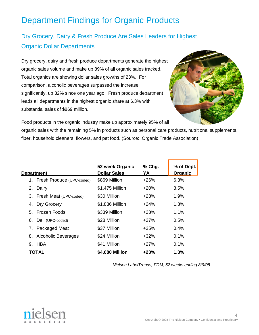# Department Findings for Organic Products

## Dry Grocery, Dairy & Fresh Produce Are Sales Leaders for Highest Organic Dollar Departments

Dry grocery, dairy and fresh produce departments generate the highest organic sales volume and make up 89% of all organic sales tracked. Total organics are showing dollar sales growths of 23%. For comparison, alcoholic beverages surpassed the increase significantly, up 32% since one year ago. Fresh produce department leads all departments in the highest organic share at 6.3% with substantial sales of \$869 million.



Food products in the organic industry make up approximately 95% of all organic sales with the remaining 5% in products such as personal care products, nutritional supplements, fiber, household cleaners, flowers, and pet food. (Source: Organic Trade Association)

|                   |                              | 52 week Organic     | $%$ Chg. | % of Dept.     |
|-------------------|------------------------------|---------------------|----------|----------------|
| <b>Department</b> |                              | <b>Dollar Sales</b> | YA       | <b>Organic</b> |
|                   | 1. Fresh Produce (UPC-coded) | \$869 Million       | $+26%$   | 6.3%           |
| 2.                | Dairy                        | \$1,475 Million     | $+20%$   | 3.5%           |
|                   | 3. Fresh Meat (UPC-coded)    | \$30 Million        | $+23%$   | 1.9%           |
| 4.                | Dry Grocery                  | \$1,836 Million     | $+24%$   | 1.3%           |
|                   | 5. Frozen Foods              | \$339 Million       | $+23%$   | 1.1%           |
|                   | 6. Deli (UPC-coded)          | \$28 Million        | $+27%$   | 0.5%           |
|                   | 7. Packaged Meat             | \$37 Million        | $+25%$   | 0.4%           |
| 8.                | Alcoholic Beverages          | \$24 Million        | $+32%$   | $0.1\%$        |
|                   | 9. HBA                       | \$41 Million        | $+27%$   | 0.1%           |
|                   | <b>TOTAL</b>                 | \$4,680 Million     | $+23%$   | 1.3%           |

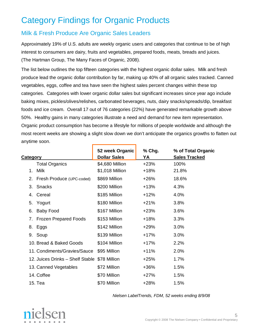# Category Findings for Organic Products

## Milk & Fresh Produce Are Organic Sales Leaders

Approximately 19% of U.S. adults are weekly organic users and categories that continue to be of high interest to consumers are dairy, fruits and vegetables, prepared foods, meats, breads and juices. (The Hartman Group, The Many Faces of Organic, 2008).

The list below outlines the top fifteen categories with the highest organic dollar sales. Milk and fresh produce lead the organic dollar contribution by far, making up 40% of all organic sales tracked. Canned vegetables, eggs, coffee and tea have seen the highest sales percent changes within these top categories. Categories with lower organic dollar sales but significant increases since year ago include baking mixes, pickles/olives/relishes, carbonated beverages, nuts, dairy snacks/spreads/dip, breakfast foods and ice cream. Overall 17 out of 76 categories (22%) have generated remarkable growth above 50%. Healthy gains in many categories illustrate a need and demand for new item representation. Organic product consumption has become a lifestyle for millions of people worldwide and although the most recent weeks are showing a slight slow down we don't anticipate the organics growths to flatten out anytime soon.

| <u>Category</u>                               | 52 week Organic<br><b>Dollar Sales</b> | % Chg.<br>YA | % of Total Organic<br><b>Sales Tracked</b> |
|-----------------------------------------------|----------------------------------------|--------------|--------------------------------------------|
| <b>Total Organics</b>                         | \$4,680 Million                        | $+23%$       | 100%                                       |
| 1. Milk                                       | \$1,018 Million                        | +18%         | 21.8%                                      |
| 2. Fresh Produce (UPC-coded)                  | \$869 Million                          | $+26%$       | 18.6%                                      |
| Snacks<br>3.                                  | \$200 Million                          | $+13%$       | 4.3%                                       |
| Cereal<br>4.                                  | \$185 Million                          | +12%         | 4.0%                                       |
| Yogurt<br>5.                                  | \$180 Million                          | $+21%$       | 3.8%                                       |
| <b>Baby Food</b><br>6.                        | \$167 Million                          | $+23%$       | 3.6%                                       |
| <b>Frozen Prepared Foods</b><br>7.            | \$153 Million                          | $+18%$       | 3.3%                                       |
| 8. Eggs                                       | \$142 Million                          | +29%         | 3.0%                                       |
| 9. Soup                                       | \$139 Million                          | $+17%$       | 3.0%                                       |
| 10. Bread & Baked Goods                       | \$104 Million                          | $+17%$       | 2.2%                                       |
| 11. Condiments/Gravies/Sauce                  | \$95 Million                           | $+11%$       | 2.0%                                       |
| 12. Juices Drinks - Shelf Stable \$78 Million |                                        | $+25%$       | 1.7%                                       |
| 13. Canned Vegetables                         | \$72 Million                           | $+36%$       | 1.5%                                       |
| 14. Coffee                                    | \$70 Million                           | +27%         | 1.5%                                       |
| 15. Tea                                       | \$70 Million                           | $+28%$       | 1.5%                                       |

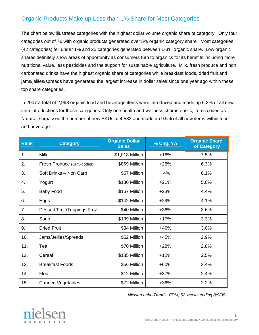#### Organic Products Make up Less than 1% Share for Most Categories

The chart below illustrates categories with the highest dollar volume organic share of category. Only four categories out of 76 with organic products generated over 5% organic category share. Most categories (42 categories) fell under 1% and 25 categories generated between 1-3% organic share. Low organic shares definitely show areas of opportunity as consumers turn to organics for its benefits including more nutritional value, less pesticides and the support for sustainable agriculture. Milk, fresh produce and non carbonated drinks have the highest organic share of categories while breakfast foods, dried fruit and jams/jellies/spreads have generated the largest increase in dollar sales since one year ago within these top share categories.

In 2007 a total of 2,968 organic food and beverage items were introduced and made up 6.2% of all new item introductions for those categories. Only one health and wellness characteristic, items coded as Natural, surpassed the number of new SKUs at 4,533 and made up 9.5% of all new items within food and beverage.

| <b>Rank</b> | <b>Category</b>             | <b>Organic Dollar</b><br><b>Sales</b> | % Chg. YA | <b>Organic Share</b><br>of Category |  |
|-------------|-----------------------------|---------------------------------------|-----------|-------------------------------------|--|
| 1.          | <b>Milk</b>                 | \$1,018 Million                       | $+18%$    | 7.5%                                |  |
| 2.          | Fresh Produce (UPC-coded)   | \$869 Million                         | $+26%$    | 6.3%                                |  |
| 3.          | Soft Drinks - Non Carb      | \$67 Million                          | $+4%$     | 6.1%                                |  |
| 4.          | Yogurt                      | \$180 Million                         | $+21%$    | 5.0%                                |  |
| 5.          | <b>Baby Food</b>            | \$167 Million                         | $+23%$    | 4.4%                                |  |
| 6.          | Eggs                        | \$142 Million                         | $+29%$    | 4.1%                                |  |
| 7.          | Dessert/Fruit/Toppings Froz | \$40 Million                          | +36%      | 3.6%                                |  |
| 8.          | Soup                        | \$139 Million                         | $+17%$    | 3.3%                                |  |
| 9.          | <b>Dried Fruit</b>          | \$34 Million                          | +46%      | 3.0%                                |  |
| 10.         | Jams/Jellies/Spreads        | \$52 Million                          | $+45%$    | 2.9%                                |  |
| 11.         | Tea                         | \$70 Million                          | $+28%$    | 2.8%                                |  |
| 12.         | Cereal                      | \$185 Million                         | $+12%$    | 2.5%                                |  |
| 13.         | <b>Breakfast Foods</b>      | \$56 Million                          | +60%      | 2.4%                                |  |
| 14.         | Flour                       | \$12 Million                          | $+37%$    | 2.4%                                |  |
| 15.         | <b>Canned Vegetables</b>    | \$72 Million                          | +36%      | 2.2%                                |  |

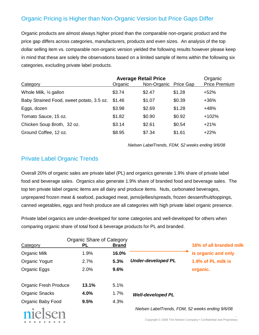#### Organic Pricing is Higher than Non-Organic Version but Price Gaps Differ

Organic products are almost always higher priced than the comparable non-organic product and the price gap differs across categories, manufacturers, products and even sizes. An analysis of the top dollar selling item vs. comparable non-organic version yielded the following results however please keep in mind that these are solely the observations based on a limited sample of items within the following six categories, excluding private label products.

|                                           |         | <b>Average Retail Price</b> |           | Organic              |
|-------------------------------------------|---------|-----------------------------|-----------|----------------------|
| Category                                  | Organic | Non-Organic                 | Price Gap | <b>Price Premium</b> |
| Whole Milk, 1/2 gallon                    | \$3.74  | \$2.47                      | \$1.28    | $+52%$               |
| Baby Strained Food, sweet potato, 3.5 oz. | \$1.46  | \$1.07                      | \$0.39    | $+36%$               |
| Eggs, dozen                               | \$3.98  | \$2.69                      | \$1.28    | $+48%$               |
| Tomato Sauce, 15 oz.                      | \$1.82  | \$0.90                      | \$0.92    | $+102%$              |
| Chicken Soup Broth, 32 oz.                | \$3.14  | \$2.61                      | \$0.54    | $+21%$               |
| Ground Coffee, 12 oz.                     | \$8.95  | \$7.34                      | \$1.61    | $+22%$               |

Nielsen LabelTrends, FDM, 52 weeks ending 9/6/08

#### Private Label Organic Trends

Overall 20% of organic sales are private label (PL) and organics generate 1.9% share of private label food and beverage sales. Organics also generate 1.9% share of branded food and beverage sales. The top ten private label organic items are all dairy and produce items. Nuts, carbonated beverages, unprepared frozen meat & seafood, packaged meat, jams/jellies/spreads, frozen dessert/fruit/toppings, canned vegetables, eggs and fresh produce are all categories with high private label organic presence.

Private label organics are under-developed for some categories and well-developed for others when comparing organic share of total food & beverage products for PL and branded.

| Category                     | Organic Share of Category<br>PL | <b>Brand</b> |                           | 16% of all branded milk                                                                                                 |
|------------------------------|---------------------------------|--------------|---------------------------|-------------------------------------------------------------------------------------------------------------------------|
| <b>Organic Milk</b>          | 1.9%                            | 16.0%        |                           | is organic and only                                                                                                     |
| Organic Yogurt               | 2.7%                            | 5.3%         | <b>Under-developed PL</b> | 1.9% of PL milk is                                                                                                      |
| Organic Eggs                 | 2.0%                            | 9.6%         |                           | organic.                                                                                                                |
| <b>Organic Fresh Produce</b> | 13.1%                           | 5.1%         |                           |                                                                                                                         |
| <b>Organic Snacks</b>        | 4.0%                            | 1.7%         | <b>Well-developed PL</b>  |                                                                                                                         |
| Organic Baby Food            | 9.5%                            | 4.3%         |                           |                                                                                                                         |
| nielsen                      |                                 |              |                           | Nielsen LabelTrends, FDM, 52 weeks ending 9/6/08<br>Copyright © 2008 The Nielsen Company . Confidential and Proprietary |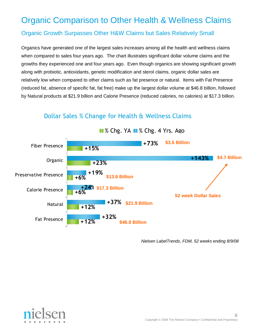## Organic Comparison to Other Health & Wellness Claims

#### Organic Growth Surpasses Other H&W Claims but Sales Relatively Small

Organics have generated one of the largest sales increases among all the health and wellness claims when compared to sales four years ago. The chart illustrates significant dollar volume claims and the growths they experienced one and four years ago. Even though organics are showing significant growth along with probiotic, antioxidants, genetic modification and sterol claims, organic dollar sales are relatively low when compared to other claims such as fat presence or natural. Items with Fat Presence (reduced fat, absence of specific fat, fat free) make up the largest dollar volume at \$46.8 billion, followed by Natural products at \$21.9 billion and Calorie Presence (reduced calories, no calories) at \$17.3 billion.



## Dollar Sales % Change for Health & Wellness Claims

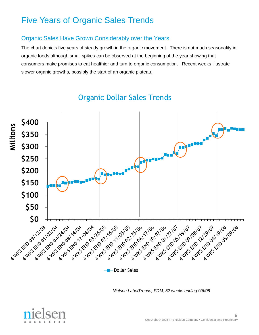## Five Years of Organic Sales Trends

#### Organic Sales Have Grown Considerably over the Years

The chart depicts five years of steady growth in the organic movement. There is not much seasonality in organic foods although small spikes can be observed at the beginning of the year showing that consumers make promises to eat healthier and turn to organic consumption. Recent weeks illustrate slower organic growths, possibly the start of an organic plateau.



## Organic Dollar Sales Trends

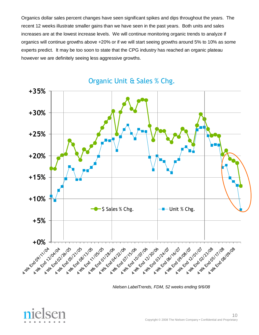Organics dollar sales percent changes have seen significant spikes and dips throughout the years. The recent 12 weeks illustrate smaller gains than we have seen in the past years. Both units and sales increases are at the lowest increase levels. We will continue monitoring organic trends to analyze if organics will continue growths above +20% or if we will start seeing growths around 5% to 10% as some experts predict. It may be too soon to state that the CPG industry has reached an organic plateau however we are definitely seeing less aggressive growths.



Organic Unit & Sales % Chg.

Nielsen LabelTrends, FDM, 52 weeks ending 9/6/08

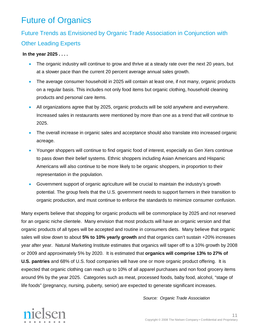## Future of Organics

## Future Trends as Envisioned by Organic Trade Association in Conjunction with Other Leading Experts

#### **In the year 2025 . . . .**

- The organic industry will continue to grow and thrive at a steady rate over the next 20 years, but at a slower pace than the current 20 percent average annual sales growth.
- The average consumer household in 2025 will contain at least one, if not many, organic products on a regular basis. This includes not only food items but organic clothing, household cleaning products and personal care items.
- All organizations agree that by 2025, organic products will be sold anywhere and everywhere. Increased sales in restaurants were mentioned by more than one as a trend that will continue to 2025.
- The overall increase in organic sales and acceptance should also translate into increased organic acreage.
- Younger shoppers will continue to find organic food of interest, especially as Gen Xers continue to pass down their belief systems. Ethnic shoppers including Asian Americans and Hispanic Americans will also continue to be more likely to be organic shoppers, in proportion to their representation in the population.
- Government support of organic agriculture will be crucial to maintain the industry's growth potential. The group feels that the U.S. government needs to support farmers in their transition to organic production, and must continue to enforce the standards to minimize consumer confusion.

Many experts believe that shopping for organic products will be commonplace by 2025 and not reserved for an organic niche clientele. Many envision that most products will have an organic version and that organic products of all types will be accepted and routine in consumers diets. Many believe that organic sales will slow down to about **5% to 10% yearly growth** and that organics can't sustain +20% increases year after year. Natural Marketing Institute estimates that organics will taper off to a 10% growth by 2008 or 2009 and approximately 5% by 2020. It is estimated that **organics will comprise 13% to 27% of U.S. pantries** and 68% of U.S. food companies will have one or more organic product offering. It is expected that organic clothing can reach up to 10% of all apparel purchases and non food grocery items around 9% by the year 2025. Categories such as meat, processed foods, baby food, alcohol, "stage of life foods" (pregnancy, nursing, puberty, senior) are expected to generate significant increases.

Source: Organic Trade Association

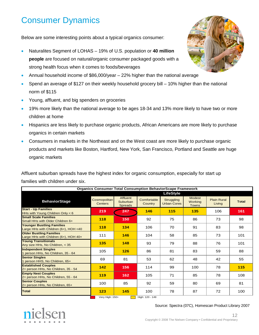# Consumer Dynamics

Below are some interesting points about a typical organics consumer:

- Naturalites Segment of LOHAS 19% of U.S. population or **40 million people** are focused on natural/organic consumer packaged goods with a strong health focus when it comes to foods/beverages
- Annual household income of \$86,000/year 22% higher than the national average
- Spend an average of \$127 on their weekly household grocery bill 10% higher than the national norm of \$115
- Young, affluent, and big spenders on groceries
- 19% more likely than the national average to be ages 18-34 and 13% more likely to have two or more children at home
- Hispanics are less likely to purchase organic products, African Americans are more likely to purchase organics in certain markets
- Consumers in markets in the Northeast and on the West coast are more likely to purchase organic products and markets like Boston, Hartford, New York, San Francisco, Portland and Seattle are huge organic markets

Affluent suburban spreads have the highest index for organic consumption, especially for start up families with children under six.

| <b>Organics Consumer Total Consumption BehaviorScape Framework</b>           |                                            |                                        |                          |                                         |                                                 |                              |              |
|------------------------------------------------------------------------------|--------------------------------------------|----------------------------------------|--------------------------|-----------------------------------------|-------------------------------------------------|------------------------------|--------------|
| <b>LifeStyle</b>                                                             |                                            |                                        |                          |                                         |                                                 |                              |              |
| <b>BehaviorStage</b>                                                         | Cosmopolitan<br><b>Centers</b>             | Affluent<br>Suburban<br><b>Spreads</b> | Comfortable<br>Country   | <b>Struggling</b><br><b>Urban Cores</b> | <b>Modest</b><br><b>Working</b><br><b>Towns</b> | <b>Plain Rural</b><br>Living | <b>Total</b> |
| <b>Start - Up Families</b><br>HHs with Young Children Only < 6               | 219                                        | 247                                    | 146                      | 115                                     | 135                                             | 106                          | 161          |
| <b>Small Scale Families</b><br>Small HHs with Older Children 6+              | 118                                        | 150                                    | 92                       | 75                                      | 86                                              | 73                           | 98           |
| <b>Younger Bustling Families</b><br>Large HHs with Children $(6+)$ , HOH <40 | 118                                        | 134                                    | 106                      | 70                                      | 91                                              | 83                           | 98           |
| <b>Older Bustling Families</b><br>Large HHs with Children (6+), HOH 40+      | 111                                        | 146                                    | 104                      | 58                                      | 85                                              | 73                           | 101          |
| <b>Young Transitionals</b><br>Any size HHs, No Children, < 35                | 135                                        | 148                                    | 93                       | 79                                      | 88                                              | 76                           | 101          |
| <b>Independent Singles</b><br>1 person HHs, No Children, 35 - 64             | 105                                        | 126                                    | 86                       | 81                                      | 83                                              | 59                           | 88           |
| <b>Senior Singles</b><br>1 person HHS, No Children, 65+                      | 69                                         | 81                                     | 53                       | 62                                      | 48                                              | 42                           | 55           |
| <b>Established Couples</b><br>2+ person HHs, No Children, 35 - 54            | 142                                        | 156                                    | 114                      | 99                                      | 100                                             | 78                           | 115          |
| <b>Empty Nest Couples</b><br>2+ person HHs, No Children, 55 - 64             | 119                                        | 162                                    | 105                      | 71                                      | 85                                              | 78                           | 108          |
| <b>Senior Couples</b><br>2+ person HHs, No Children, 65+                     | 100                                        | 85                                     | 92                       | 59                                      | 80                                              | 69                           | 81           |
| Total                                                                        | 123<br>$\binom{n}{k}$ High $\binom{4k}{k}$ | 145                                    | 100<br>$High: 120 - 140$ | 78                                      | 87                                              | 72                           | 100          |

Very High: 150+ **High: 120** - 1



#### Source: Spectra (07C), Homescan Product Library 2007